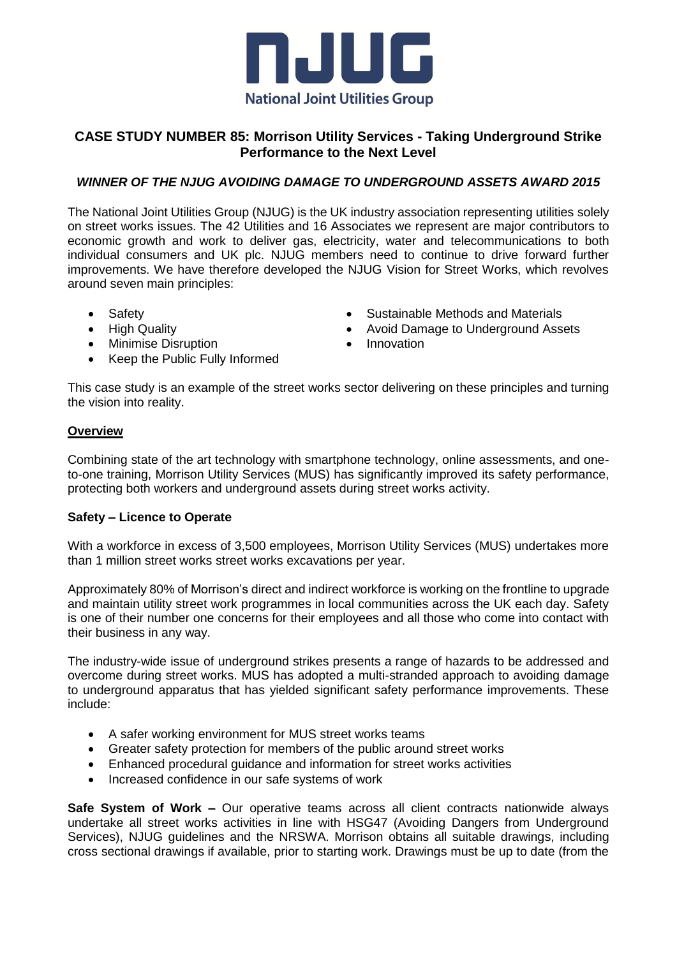

# **CASE STUDY NUMBER 85: Morrison Utility Services - Taking Underground Strike Performance to the Next Level**

## *WINNER OF THE NJUG AVOIDING DAMAGE TO UNDERGROUND ASSETS AWARD 2015*

The National Joint Utilities Group (NJUG) is the UK industry association representing utilities solely on street works issues. The 42 Utilities and 16 Associates we represent are major contributors to economic growth and work to deliver gas, electricity, water and telecommunications to both individual consumers and UK plc. NJUG members need to continue to drive forward further improvements. We have therefore developed the NJUG Vision for Street Works, which revolves around seven main principles:

- Safety
- High Quality
- Minimise Disruption
- Sustainable Methods and Materials
- Avoid Damage to Underground Assets
- Innovation
- Keep the Public Fully Informed

This case study is an example of the street works sector delivering on these principles and turning the vision into reality.

### **Overview**

Combining state of the art technology with smartphone technology, online assessments, and oneto-one training, Morrison Utility Services (MUS) has significantly improved its safety performance, protecting both workers and underground assets during street works activity.

#### **Safety – Licence to Operate**

With a workforce in excess of 3,500 employees, Morrison Utility Services (MUS) undertakes more than 1 million street works street works excavations per year.

Approximately 80% of Morrison's direct and indirect workforce is working on the frontline to upgrade and maintain utility street work programmes in local communities across the UK each day. Safety is one of their number one concerns for their employees and all those who come into contact with their business in any way.

The industry-wide issue of underground strikes presents a range of hazards to be addressed and overcome during street works. MUS has adopted a multi-stranded approach to avoiding damage to underground apparatus that has yielded significant safety performance improvements. These include:

- A safer working environment for MUS street works teams
- Greater safety protection for members of the public around street works
- Enhanced procedural guidance and information for street works activities
- Increased confidence in our safe systems of work

**Safe System of Work –** Our operative teams across all client contracts nationwide always undertake all street works activities in line with HSG47 (Avoiding Dangers from Underground Services), NJUG guidelines and the NRSWA. Morrison obtains all suitable drawings, including cross sectional drawings if available, prior to starting work. Drawings must be up to date (from the